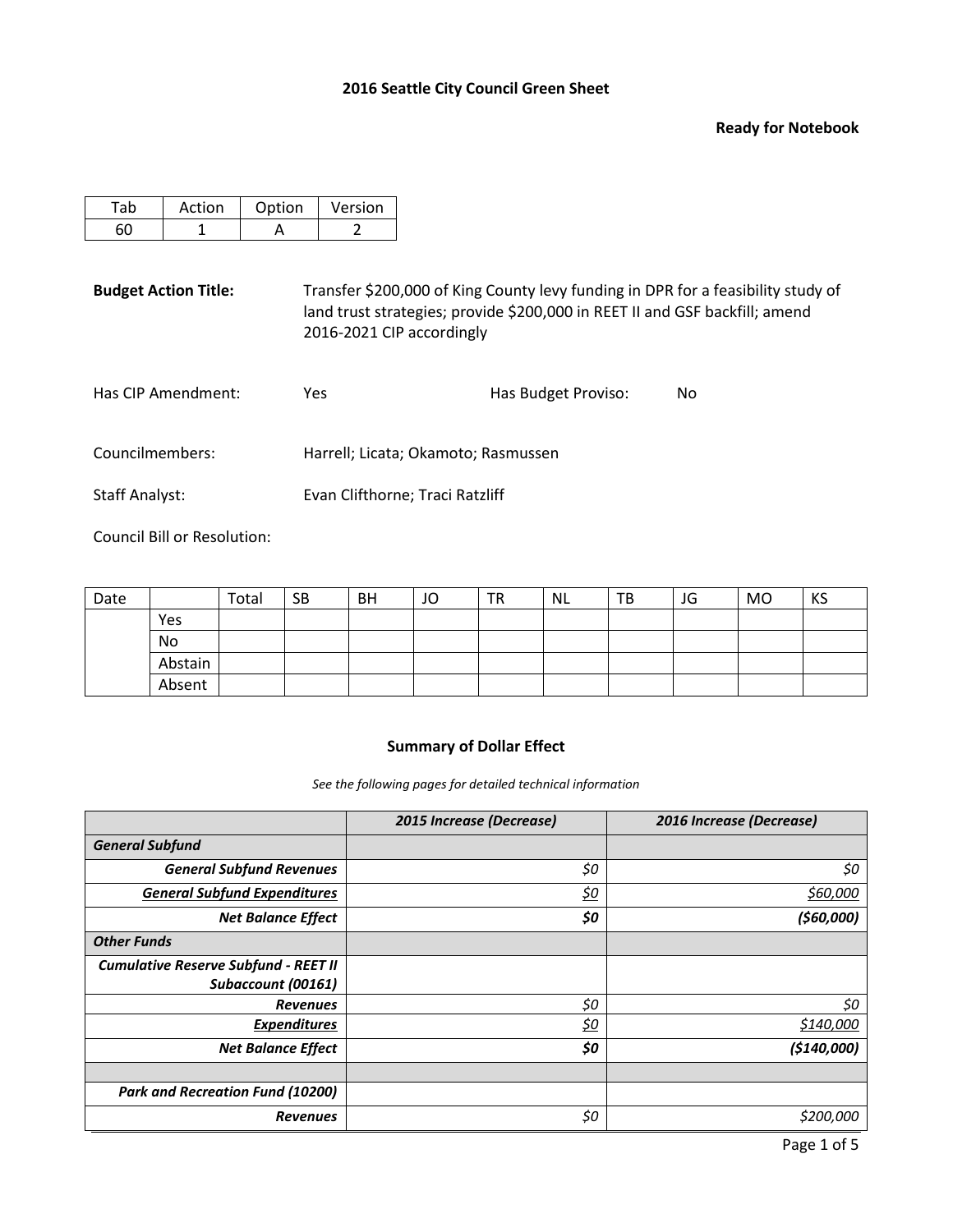#### **Ready for Notebook**

| Action | Option | Version |
|--------|--------|---------|
|        |        |         |

**Budget Action Title:** Transfer \$200,000 of King County levy funding in DPR for a feasibility study of land trust strategies; provide \$200,000 in REET II and GSF backfill; amend 2016-2021 CIP accordingly

| Has CIP Amendment: | Yes.                                | Has Budget Proviso: | No |
|--------------------|-------------------------------------|---------------------|----|
| Councilmembers:    | Harrell; Licata; Okamoto; Rasmussen |                     |    |
| Staff Analyst:     | Evan Clifthorne; Traci Ratzliff     |                     |    |

Council Bill or Resolution:

| Date |         | Total | <b>SB</b> | <b>BH</b> | JO | <b>TR</b> | <b>NL</b> | ТB | JG | <b>MO</b> | KS |
|------|---------|-------|-----------|-----------|----|-----------|-----------|----|----|-----------|----|
|      | Yes     |       |           |           |    |           |           |    |    |           |    |
|      | No      |       |           |           |    |           |           |    |    |           |    |
|      | Abstain |       |           |           |    |           |           |    |    |           |    |
|      | Absent  |       |           |           |    |           |           |    |    |           |    |

# **Summary of Dollar Effect**

*See the following pages for detailed technical information*

|                                             | 2015 Increase (Decrease) | 2016 Increase (Decrease) |
|---------------------------------------------|--------------------------|--------------------------|
| <b>General Subfund</b>                      |                          |                          |
| <b>General Subfund Revenues</b>             | \$0                      | \$0                      |
| <b>General Subfund Expenditures</b>         | <u>\$0</u>               | \$60,000                 |
| <b>Net Balance Effect</b>                   | \$0                      | (560,000)                |
| <b>Other Funds</b>                          |                          |                          |
| <b>Cumulative Reserve Subfund - REET II</b> |                          |                          |
| Subaccount (00161)                          |                          |                          |
| <b>Revenues</b>                             | \$0                      | \$0                      |
| <b>Expenditures</b>                         | <u>\$0</u>               | \$140,000                |
| <b>Net Balance Effect</b>                   | \$0                      | ( \$140,000]             |
|                                             |                          |                          |
| <b>Park and Recreation Fund (10200)</b>     |                          |                          |
| <b>Revenues</b>                             | \$0                      | \$200,000                |

Page 1 of 5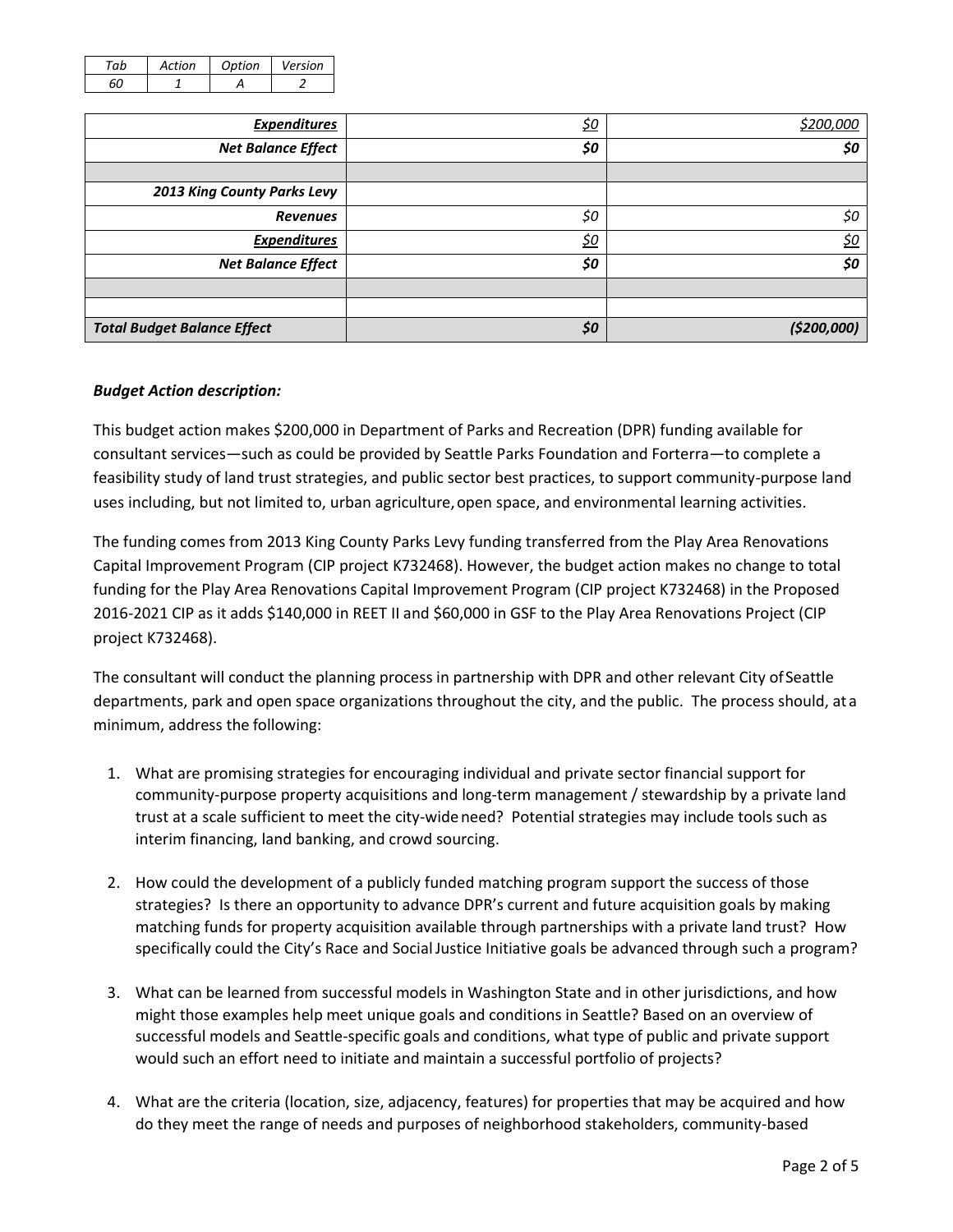| Artion | Ontion | Version |
|--------|--------|---------|
|        |        |         |

| <b>Expenditures</b>                | <u>\$0</u> | \$200,000   |
|------------------------------------|------------|-------------|
| <b>Net Balance Effect</b>          | \$0        | \$0         |
|                                    |            |             |
| 2013 King County Parks Levy        |            |             |
| <b>Revenues</b>                    | \$0        | \$0         |
| <b>Expenditures</b>                | <u>\$0</u> | <u>\$0</u>  |
| <b>Net Balance Effect</b>          | \$0        | \$0         |
|                                    |            |             |
|                                    |            |             |
| <b>Total Budget Balance Effect</b> | \$0        | (\$200,000) |

## *Budget Action description:*

This budget action makes \$200,000 in Department of Parks and Recreation (DPR) funding available for consultant services—such as could be provided by Seattle Parks Foundation and Forterra—to complete a feasibility study of land trust strategies, and public sector best practices, to support community-purpose land uses including, but not limited to, urban agriculture, open space, and environmental learning activities.

The funding comes from 2013 King County Parks Levy funding transferred from the Play Area Renovations Capital Improvement Program (CIP project K732468). However, the budget action makes no change to total funding for the Play Area Renovations Capital Improvement Program (CIP project K732468) in the Proposed 2016-2021 CIP as it adds \$140,000 in REET II and \$60,000 in GSF to the Play Area Renovations Project (CIP project K732468).

The consultant will conduct the planning process in partnership with DPR and other relevant City ofSeattle departments, park and open space organizations throughout the city, and the public. The process should, at a minimum, address the following:

- 1. What are promising strategies for encouraging individual and private sector financial support for community-purpose property acquisitions and long-term management / stewardship by a private land trust at a scale sufficient to meet the city-wideneed? Potential strategies may include tools such as interim financing, land banking, and crowd sourcing.
- 2. How could the development of a publicly funded matching program support the success of those strategies? Is there an opportunity to advance DPR's current and future acquisition goals by making matching funds for property acquisition available through partnerships with a private land trust? How specifically could the City's Race and SocialJustice Initiative goals be advanced through such a program?
- 3. What can be learned from successful models in Washington State and in other jurisdictions, and how might those examples help meet unique goals and conditions in Seattle? Based on an overview of successful models and Seattle-specific goals and conditions, what type of public and private support would such an effort need to initiate and maintain a successful portfolio of projects?
- 4. What are the criteria (location, size, adjacency, features) for properties that may be acquired and how do they meet the range of needs and purposes of neighborhood stakeholders, community-based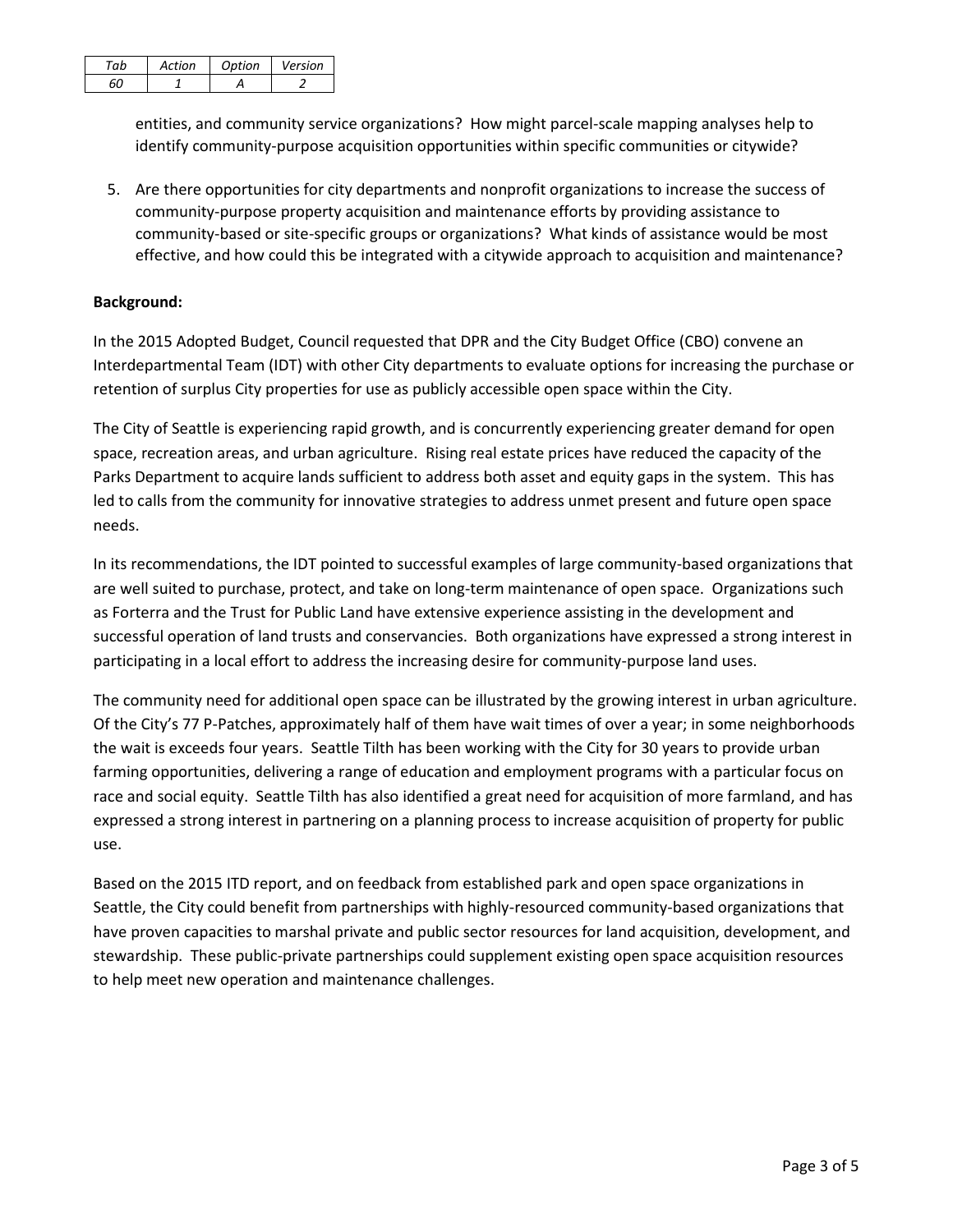| ~ h | Artion | Ontion | Version |
|-----|--------|--------|---------|
|     |        |        |         |

entities, and community service organizations? How might parcel-scale mapping analyses help to identify community-purpose acquisition opportunities within specific communities or citywide?

5. Are there opportunities for city departments and nonprofit organizations to increase the success of community-purpose property acquisition and maintenance efforts by providing assistance to community-based or site-specific groups or organizations? What kinds of assistance would be most effective, and how could this be integrated with a citywide approach to acquisition and maintenance?

## **Background:**

In the 2015 Adopted Budget, Council requested that DPR and the City Budget Office (CBO) convene an Interdepartmental Team (IDT) with other City departments to evaluate options for increasing the purchase or retention of surplus City properties for use as publicly accessible open space within the City.

The City of Seattle is experiencing rapid growth, and is concurrently experiencing greater demand for open space, recreation areas, and urban agriculture. Rising real estate prices have reduced the capacity of the Parks Department to acquire lands sufficient to address both asset and equity gaps in the system. This has led to calls from the community for innovative strategies to address unmet present and future open space needs.

In its recommendations, the IDT pointed to successful examples of large community-based organizations that are well suited to purchase, protect, and take on long-term maintenance of open space. Organizations such as Forterra and the Trust for Public Land have extensive experience assisting in the development and successful operation of land trusts and conservancies. Both organizations have expressed a strong interest in participating in a local effort to address the increasing desire for community-purpose land uses.

The community need for additional open space can be illustrated by the growing interest in urban agriculture. Of the City's 77 P-Patches, approximately half of them have wait times of over a year; in some neighborhoods the wait is exceeds four years. Seattle Tilth has been working with the City for 30 years to provide urban farming opportunities, delivering a range of education and employment programs with a particular focus on race and social equity. Seattle Tilth has also identified a great need for acquisition of more farmland, and has expressed a strong interest in partnering on a planning process to increase acquisition of property for public use.

Based on the 2015 ITD report, and on feedback from established park and open space organizations in Seattle, the City could benefit from partnerships with highly-resourced community-based organizations that have proven capacities to marshal private and public sector resources for land acquisition, development, and stewardship. These public-private partnerships could supplement existing open space acquisition resources to help meet new operation and maintenance challenges.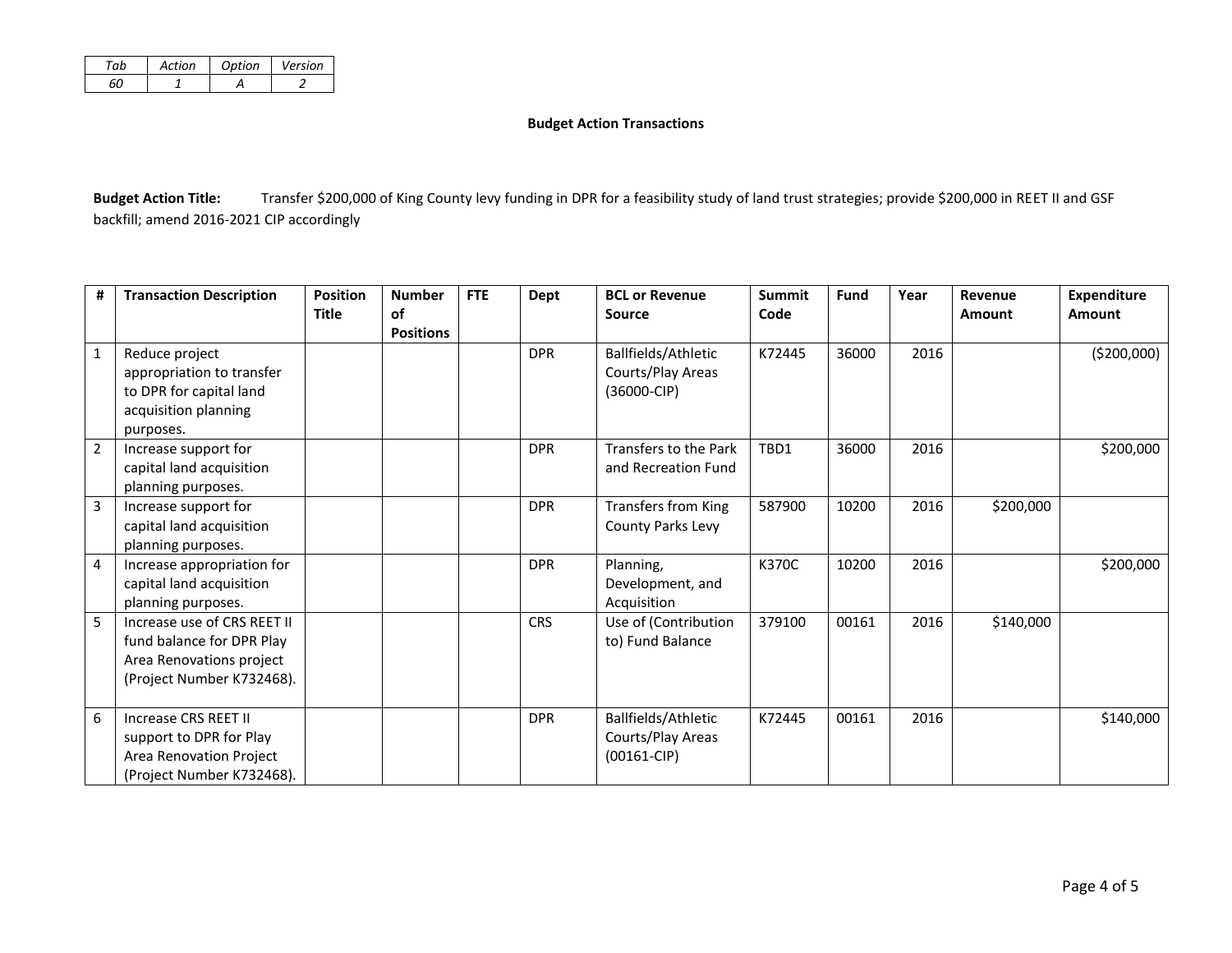| Action | Option | Version |
|--------|--------|---------|
|        |        |         |

#### **Budget Action Transactions**

Budget Action Title: Transfer \$200,000 of King County levy funding in DPR for a feasibility study of land trust strategies; provide \$200,000 in REET II and GSF backfill; amend 2016-2021 CIP accordingly

| #              | <b>Transaction Description</b>                                                                                    | <b>Position</b> | <b>Number</b>                 | <b>FTE</b> | Dept       | <b>BCL or Revenue</b>                                       | <b>Summit</b> | <b>Fund</b> | Year | Revenue   | <b>Expenditure</b> |
|----------------|-------------------------------------------------------------------------------------------------------------------|-----------------|-------------------------------|------------|------------|-------------------------------------------------------------|---------------|-------------|------|-----------|--------------------|
|                |                                                                                                                   | <b>Title</b>    | <b>of</b><br><b>Positions</b> |            |            | <b>Source</b>                                               | Code          |             |      | Amount    | <b>Amount</b>      |
| $\mathbf{1}$   | Reduce project<br>appropriation to transfer<br>to DPR for capital land<br>acquisition planning<br>purposes.       |                 |                               |            | <b>DPR</b> | Ballfields/Athletic<br>Courts/Play Areas<br>$(36000 - CIP)$ | K72445        | 36000       | 2016 |           | ( \$200,000)       |
| $\overline{2}$ | Increase support for<br>capital land acquisition<br>planning purposes.                                            |                 |                               |            | <b>DPR</b> | Transfers to the Park<br>and Recreation Fund                | TBD1          | 36000       | 2016 |           | \$200,000          |
| 3              | Increase support for<br>capital land acquisition<br>planning purposes.                                            |                 |                               |            | <b>DPR</b> | <b>Transfers from King</b><br>County Parks Levy             | 587900        | 10200       | 2016 | \$200,000 |                    |
| 4              | Increase appropriation for<br>capital land acquisition<br>planning purposes.                                      |                 |                               |            | <b>DPR</b> | Planning,<br>Development, and<br>Acquisition                | K370C         | 10200       | 2016 |           | \$200,000          |
| 5              | Increase use of CRS REET II<br>fund balance for DPR Play<br>Area Renovations project<br>(Project Number K732468). |                 |                               |            | <b>CRS</b> | Use of (Contribution<br>to) Fund Balance                    | 379100        | 00161       | 2016 | \$140,000 |                    |
| 6              | Increase CRS REET II<br>support to DPR for Play<br>Area Renovation Project<br>(Project Number K732468).           |                 |                               |            | <b>DPR</b> | Ballfields/Athletic<br>Courts/Play Areas<br>$(00161 - CIP)$ | K72445        | 00161       | 2016 |           | \$140,000          |